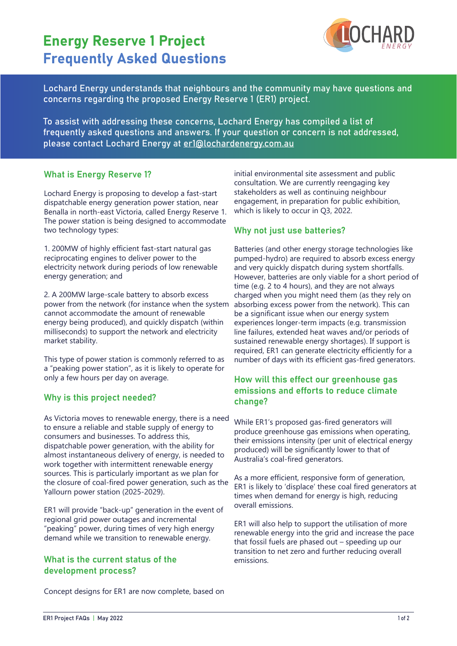# Energy Reserve 1 Project Frequently Asked Questions



Lochard Energy understands that neighbours and the community may have questions and concerns regarding the proposed Energy Reserve 1 (ER1) project.

To assist with addressing these concerns, Lochard Energy has compiled a list of frequently asked questions and answers. If your question or concern is not addressed, please contact Lochard Energy at er1@lochardenergy.com.au

## What is Energy Reserve 1?

Lochard Energy is proposing to develop a fast-start dispatchable energy generation power station, near Benalla in north-east Victoria, called Energy Reserve 1. The power station is being designed to accommodate two technology types:

1. 200MW of highly efficient fast-start natural gas reciprocating engines to deliver power to the electricity network during periods of low renewable energy generation; and

2. A 200MW large-scale battery to absorb excess power from the network (for instance when the system cannot accommodate the amount of renewable energy being produced), and quickly dispatch (within milliseconds) to support the network and electricity market stability.

This type of power station is commonly referred to as a "peaking power station", as it is likely to operate for only a few hours per day on average.

## Why is this project needed?

As Victoria moves to renewable energy, there is a need to ensure a reliable and stable supply of energy to consumers and businesses. To address this, dispatchable power generation, with the ability for almost instantaneous delivery of energy, is needed to work together with intermittent renewable energy sources. This is particularly important as we plan for the closure of coal-fired power generation, such as the Yallourn power station (2025-2029).

ER1 will provide "back-up" generation in the event of regional grid power outages and incremental "peaking" power, during times of very high energy demand while we transition to renewable energy.

# What is the current status of the development process?

Concept designs for ER1 are now complete, based on

initial environmental site assessment and public consultation. We are currently reengaging key stakeholders as well as continuing neighbour engagement, in preparation for public exhibition, which is likely to occur in Q3, 2022.

# Why not just use batteries?

Batteries (and other energy storage technologies like pumped-hydro) are required to absorb excess energy and very quickly dispatch during system shortfalls. However, batteries are only viable for a short period of time (e.g. 2 to 4 hours), and they are not always charged when you might need them (as they rely on absorbing excess power from the network). This can be a significant issue when our energy system experiences longer-term impacts (e.g. transmission line failures, extended heat waves and/or periods of sustained renewable energy shortages). If support is required, ER1 can generate electricity efficiently for a number of days with its efficient gas-fired generators.

# How will this effect our greenhouse gas emissions and efforts to reduce climate change?

While ER1's proposed gas-fired generators will produce greenhouse gas emissions when operating, their emissions intensity (per unit of electrical energy produced) will be significantly lower to that of Australia's coal-fired generators.

As a more efficient, responsive form of generation, ER1 is likely to 'displace' these coal fired generators at times when demand for energy is high, reducing overall emissions.

ER1 will also help to support the utilisation of more renewable energy into the grid and increase the pace that fossil fuels are phased out – speeding up our transition to net zero and further reducing overall emissions.